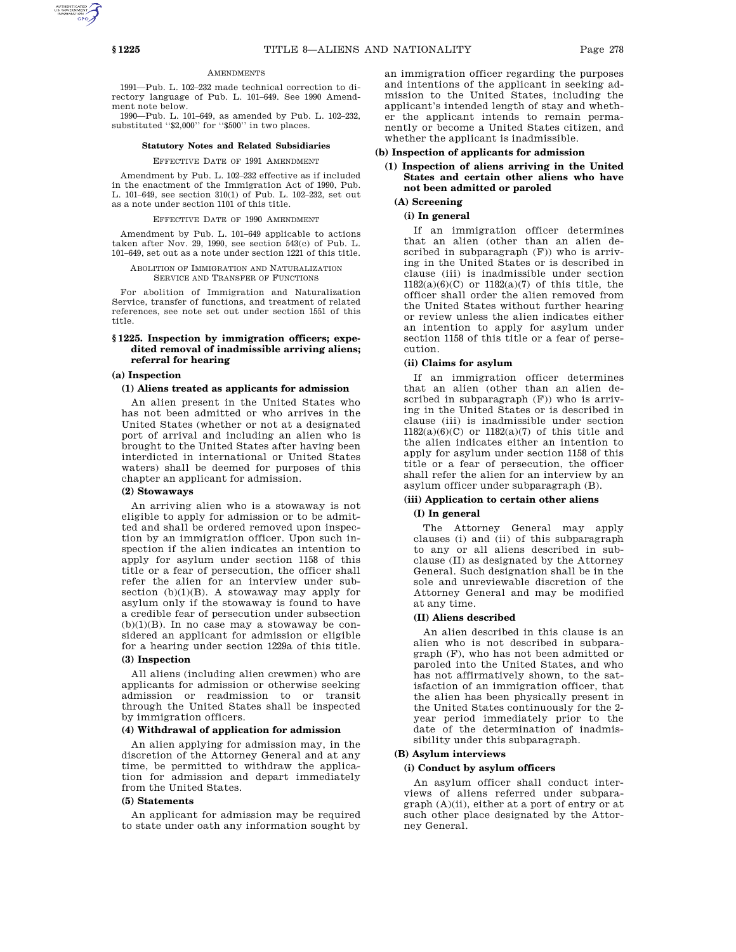## **AMENDMENTS**

1991—Pub. L. 102–232 made technical correction to directory language of Pub. L. 101–649. See 1990 Amendment note below.

1990—Pub. L. 101–649, as amended by Pub. L. 102–232, substituted "\$2,000" for "\$500" in two places.

#### **Statutory Notes and Related Subsidiaries**

#### EFFECTIVE DATE OF 1991 AMENDMENT

Amendment by Pub. L. 102–232 effective as if included in the enactment of the Immigration Act of 1990, Pub. L. 101–649, see section 310(1) of Pub. L. 102–232, set out as a note under section 1101 of this title.

#### EFFECTIVE DATE OF 1990 AMENDMENT

Amendment by Pub. L. 101–649 applicable to actions taken after Nov. 29, 1990, see section 543(c) of Pub. L. 101–649, set out as a note under section 1221 of this title.

ABOLITION OF IMMIGRATION AND NATURALIZATION SERVICE AND TRANSFER OF FUNCTIONS

For abolition of Immigration and Naturalization Service, transfer of functions, and treatment of related references, see note set out under section 1551 of this title.

## **§ 1225. Inspection by immigration officers; expedited removal of inadmissible arriving aliens; referral for hearing**

## **(a) Inspection**

#### **(1) Aliens treated as applicants for admission**

An alien present in the United States who has not been admitted or who arrives in the United States (whether or not at a designated port of arrival and including an alien who is brought to the United States after having been interdicted in international or United States waters) shall be deemed for purposes of this chapter an applicant for admission.

#### **(2) Stowaways**

An arriving alien who is a stowaway is not eligible to apply for admission or to be admitted and shall be ordered removed upon inspection by an immigration officer. Upon such inspection if the alien indicates an intention to apply for asylum under section 1158 of this title or a fear of persecution, the officer shall refer the alien for an interview under subsection (b)(1)(B). A stowaway may apply for asylum only if the stowaway is found to have a credible fear of persecution under subsection  $(b)(1)(B)$ . In no case may a stowaway be considered an applicant for admission or eligible for a hearing under section 1229a of this title. **(3) Inspection**

All aliens (including alien crewmen) who are applicants for admission or otherwise seeking admission or readmission to or transit through the United States shall be inspected by immigration officers.

#### **(4) Withdrawal of application for admission**

An alien applying for admission may, in the discretion of the Attorney General and at any time, be permitted to withdraw the application for admission and depart immediately from the United States.

## **(5) Statements**

An applicant for admission may be required to state under oath any information sought by an immigration officer regarding the purposes and intentions of the applicant in seeking admission to the United States, including the applicant's intended length of stay and whether the applicant intends to remain permanently or become a United States citizen, and whether the applicant is inadmissible.

# **(b) Inspection of applicants for admission**

# **(1) Inspection of aliens arriving in the United States and certain other aliens who have not been admitted or paroled**

# **(A) Screening**

# **(i) In general**

If an immigration officer determines that an alien (other than an alien described in subparagraph (F)) who is arriving in the United States or is described in clause (iii) is inadmissible under section 1182(a)(6)(C) or 1182(a)(7) of this title, the officer shall order the alien removed from the United States without further hearing or review unless the alien indicates either an intention to apply for asylum under section 1158 of this title or a fear of persecution.

#### **(ii) Claims for asylum**

If an immigration officer determines that an alien (other than an alien described in subparagraph (F)) who is arriving in the United States or is described in clause (iii) is inadmissible under section 1182(a)(6)(C) or 1182(a)(7) of this title and the alien indicates either an intention to apply for asylum under section 1158 of this title or a fear of persecution, the officer shall refer the alien for an interview by an asylum officer under subparagraph (B).

## **(iii) Application to certain other aliens**

## **(I) In general**

The Attorney General may apply clauses (i) and (ii) of this subparagraph to any or all aliens described in subclause (II) as designated by the Attorney General. Such designation shall be in the sole and unreviewable discretion of the Attorney General and may be modified at any time.

#### **(II) Aliens described**

An alien described in this clause is an alien who is not described in subparagraph (F), who has not been admitted or paroled into the United States, and who has not affirmatively shown, to the satisfaction of an immigration officer, that the alien has been physically present in the United States continuously for the 2 year period immediately prior to the date of the determination of inadmissibility under this subparagraph.

## **(B) Asylum interviews**

## **(i) Conduct by asylum officers**

An asylum officer shall conduct interviews of aliens referred under subparagraph (A)(ii), either at a port of entry or at such other place designated by the Attorney General.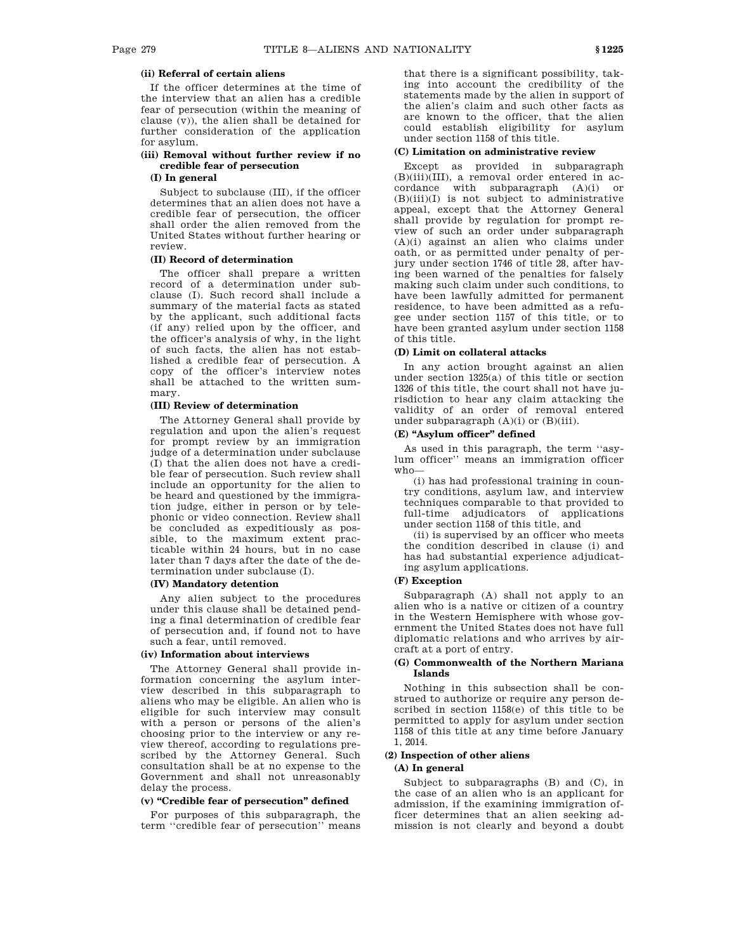# **(ii) Referral of certain aliens**

If the officer determines at the time of the interview that an alien has a credible fear of persecution (within the meaning of clause (v)), the alien shall be detained for further consideration of the application for asylum.

## **(iii) Removal without further review if no credible fear of persecution**

## **(I) In general**

Subject to subclause (III), if the officer determines that an alien does not have a credible fear of persecution, the officer shall order the alien removed from the United States without further hearing or review.

## **(II) Record of determination**

The officer shall prepare a written record of a determination under subclause (I). Such record shall include a summary of the material facts as stated by the applicant, such additional facts (if any) relied upon by the officer, and the officer's analysis of why, in the light of such facts, the alien has not established a credible fear of persecution. A copy of the officer's interview notes shall be attached to the written summary.

## **(III) Review of determination**

The Attorney General shall provide by regulation and upon the alien's request for prompt review by an immigration judge of a determination under subclause (I) that the alien does not have a credible fear of persecution. Such review shall include an opportunity for the alien to be heard and questioned by the immigration judge, either in person or by telephonic or video connection. Review shall be concluded as expeditiously as possible, to the maximum extent practicable within 24 hours, but in no case later than 7 days after the date of the determination under subclause (I).

# **(IV) Mandatory detention**

Any alien subject to the procedures under this clause shall be detained pending a final determination of credible fear of persecution and, if found not to have such a fear, until removed.

## **(iv) Information about interviews**

The Attorney General shall provide information concerning the asylum interview described in this subparagraph to aliens who may be eligible. An alien who is eligible for such interview may consult with a person or persons of the alien's choosing prior to the interview or any review thereof, according to regulations prescribed by the Attorney General. Such consultation shall be at no expense to the Government and shall not unreasonably delay the process.

# **(v) ''Credible fear of persecution'' defined**

For purposes of this subparagraph, the term ''credible fear of persecution'' means

that there is a significant possibility, taking into account the credibility of the statements made by the alien in support of the alien's claim and such other facts as are known to the officer, that the alien could establish eligibility for asylum under section 1158 of this title.

## **(C) Limitation on administrative review**

Except as provided in subparagraph (B)(iii)(III), a removal order entered in accordance with subparagraph (A)(i) or (B)(iii)(I) is not subject to administrative appeal, except that the Attorney General shall provide by regulation for prompt review of such an order under subparagraph (A)(i) against an alien who claims under oath, or as permitted under penalty of perjury under section 1746 of title 28, after having been warned of the penalties for falsely making such claim under such conditions, to have been lawfully admitted for permanent residence, to have been admitted as a refugee under section 1157 of this title, or to have been granted asylum under section 1158 of this title.

## **(D) Limit on collateral attacks**

In any action brought against an alien under section 1325(a) of this title or section 1326 of this title, the court shall not have jurisdiction to hear any claim attacking the validity of an order of removal entered under subparagraph (A)(i) or (B)(iii).

## **(E) ''Asylum officer'' defined**

As used in this paragraph, the term ''asylum officer'' means an immigration officer who—

(i) has had professional training in country conditions, asylum law, and interview techniques comparable to that provided to full-time adjudicators of applications under section 1158 of this title, and

(ii) is supervised by an officer who meets the condition described in clause (i) and has had substantial experience adjudicating asylum applications.

# **(F) Exception**

Subparagraph (A) shall not apply to an alien who is a native or citizen of a country in the Western Hemisphere with whose government the United States does not have full diplomatic relations and who arrives by aircraft at a port of entry.

## **(G) Commonwealth of the Northern Mariana Islands**

Nothing in this subsection shall be construed to authorize or require any person described in section 1158(e) of this title to be permitted to apply for asylum under section 1158 of this title at any time before January 1, 2014.

## **(2) Inspection of other aliens**

# **(A) In general**

Subject to subparagraphs (B) and (C), in the case of an alien who is an applicant for admission, if the examining immigration officer determines that an alien seeking admission is not clearly and beyond a doubt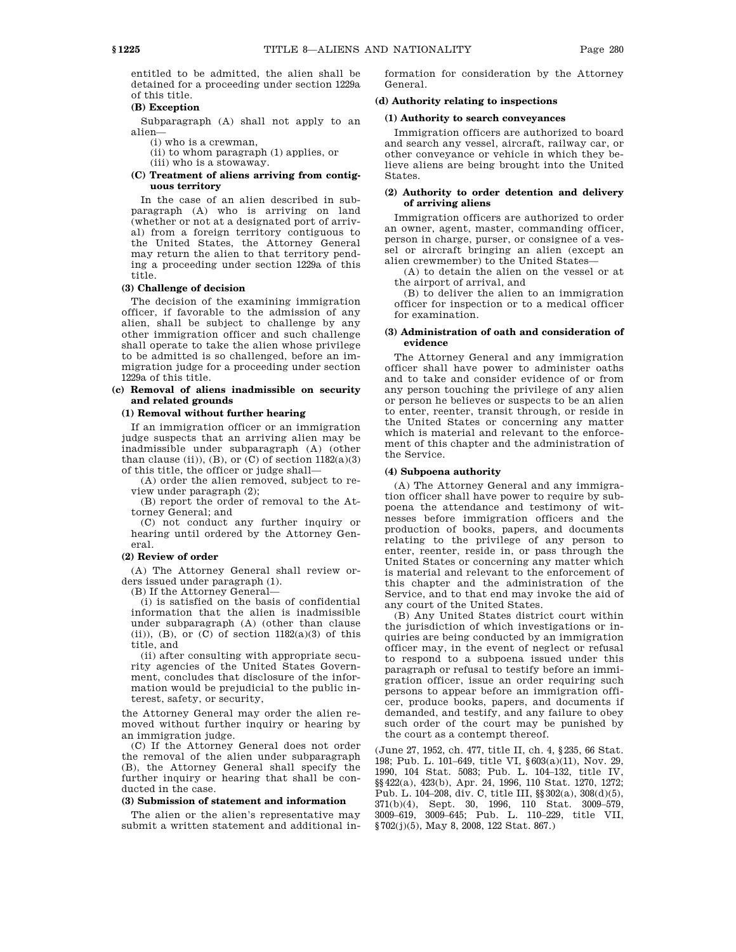entitled to be admitted, the alien shall be detained for a proceeding under section 1229a of this title.

## **(B) Exception**

Subparagraph (A) shall not apply to an alien—

(i) who is a crewman,

(ii) to whom paragraph (1) applies, or (iii) who is a stowaway.

## **(C) Treatment of aliens arriving from contiguous territory**

In the case of an alien described in subparagraph (A) who is arriving on land (whether or not at a designated port of arrival) from a foreign territory contiguous to the United States, the Attorney General may return the alien to that territory pending a proceeding under section 1229a of this title.

## **(3) Challenge of decision**

The decision of the examining immigration officer, if favorable to the admission of any alien, shall be subject to challenge by any other immigration officer and such challenge shall operate to take the alien whose privilege to be admitted is so challenged, before an immigration judge for a proceeding under section 1229a of this title.

## **(c) Removal of aliens inadmissible on security and related grounds**

## **(1) Removal without further hearing**

If an immigration officer or an immigration judge suspects that an arriving alien may be inadmissible under subparagraph (A) (other than clause (ii)), (B), or (C) of section  $1182(a)(3)$ of this title, the officer or judge shall—

(A) order the alien removed, subject to review under paragraph (2);

(B) report the order of removal to the Attorney General; and

(C) not conduct any further inquiry or hearing until ordered by the Attorney General.

## **(2) Review of order**

(A) The Attorney General shall review orders issued under paragraph (1).

(B) If the Attorney General—

(i) is satisfied on the basis of confidential information that the alien is inadmissible under subparagraph (A) (other than clause (ii)),  $(B)$ , or  $(C)$  of section  $1182(a)(3)$  of this title, and

(ii) after consulting with appropriate security agencies of the United States Government, concludes that disclosure of the information would be prejudicial to the public interest, safety, or security,

the Attorney General may order the alien removed without further inquiry or hearing by an immigration judge.

(C) If the Attorney General does not order the removal of the alien under subparagraph (B), the Attorney General shall specify the further inquiry or hearing that shall be conducted in the case.

## **(3) Submission of statement and information**

The alien or the alien's representative may submit a written statement and additional information for consideration by the Attorney General.

## **(d) Authority relating to inspections**

## **(1) Authority to search conveyances**

Immigration officers are authorized to board and search any vessel, aircraft, railway car, or other conveyance or vehicle in which they believe aliens are being brought into the United States.

## **(2) Authority to order detention and delivery of arriving aliens**

Immigration officers are authorized to order an owner, agent, master, commanding officer, person in charge, purser, or consignee of a vessel or aircraft bringing an alien (except an alien crewmember) to the United States—

(A) to detain the alien on the vessel or at the airport of arrival, and

(B) to deliver the alien to an immigration officer for inspection or to a medical officer for examination.

## **(3) Administration of oath and consideration of evidence**

The Attorney General and any immigration officer shall have power to administer oaths and to take and consider evidence of or from any person touching the privilege of any alien or person he believes or suspects to be an alien to enter, reenter, transit through, or reside in the United States or concerning any matter which is material and relevant to the enforcement of this chapter and the administration of the Service.

## **(4) Subpoena authority**

(A) The Attorney General and any immigration officer shall have power to require by subpoena the attendance and testimony of witnesses before immigration officers and the production of books, papers, and documents relating to the privilege of any person to enter, reenter, reside in, or pass through the United States or concerning any matter which is material and relevant to the enforcement of this chapter and the administration of the Service, and to that end may invoke the aid of any court of the United States.

(B) Any United States district court within the jurisdiction of which investigations or inquiries are being conducted by an immigration officer may, in the event of neglect or refusal to respond to a subpoena issued under this paragraph or refusal to testify before an immigration officer, issue an order requiring such persons to appear before an immigration officer, produce books, papers, and documents if demanded, and testify, and any failure to obey such order of the court may be punished by the court as a contempt thereof.

(June 27, 1952, ch. 477, title II, ch. 4, §235, 66 Stat. 198; Pub. L. 101–649, title VI, §603(a)(11), Nov. 29, 1990, 104 Stat. 5083; Pub. L. 104–132, title IV, §§422(a), 423(b), Apr. 24, 1996, 110 Stat. 1270, 1272; Pub. L. 104–208, div. C, title III, §§302(a), 308(d)(5), 371(b)(4), Sept. 30, 1996, 110 Stat. 3009–579, 3009–619, 3009–645; Pub. L. 110–229, title VII, §702(j)(5), May 8, 2008, 122 Stat. 867.)